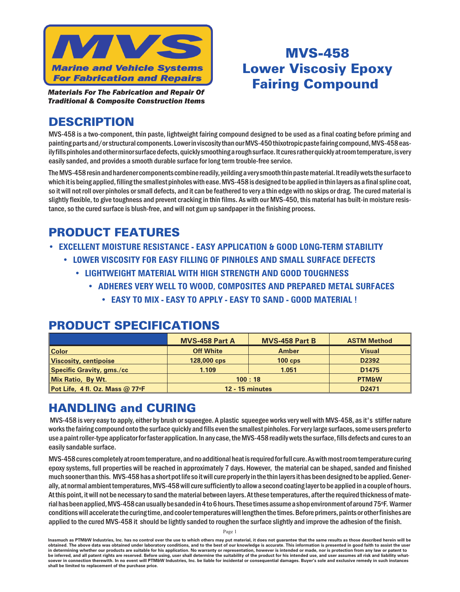

**Materials For The Fabrication and Repair Of** *Traditional & Composite Construction Items* 

# MVS-458 **Lower Viscosiy Epoxy Fairing Compound**

## **DESCRIPTION**

MVS-458 is a two-component, thin paste, lightweight fairing compound designed to be used as a final coating before priming and painting parts and/or structural components. Lower in viscosity than our MVS-450 thixotropic paste fairing compound, MVS-458 easily fills pinholes and other minor surface defects, quickly smoothing a rough surface. It cures rather quickly at room temperature, is very easily sanded, and provides a smooth durable surface for long term trouble-free service.

The MVS-458 resin and hardener components combine readily, yeilding a very smooth thin paste material. It readily wets the surface to which it is being applied, filling the smallest pinholes with ease. MVS-458 is designed to be applied in thin layers as a final spline coat, so it will not roll over pinholes or small defects, and it can be feathered to very a thin edge with no skips or drag. The cured material is slightly flexible, to give toughness and prevent cracking in thin films. As with our MVS-450, this material has built-in moisture resistance, so the cured surface is blush-free, and will not gum up sand paper in the finishing process.

# **PRODUCT FEATURES**

- **• EXCELLENT MOISTURE RESISTANCE EASY APPLICATION & GOOD LONG-TERM STABILITY** 
	- **•** LOWER VISCOSITY FOR EASY FILLING OF PINHOLES AND SMALL SURFACE DEFECTS
		- **•** LIGHTWEIGHT MATERIAL WITH HIGH STRENGTH AND GOOD TOUGHNESS
			- **ADHERES VERY WELL TO WOOD, COMPOSITES AND PREPARED METAL SURFACES** 
				- **• EASY TO MIX EASY TO APPLY EASY TO SAND GOOD MATERIAL !**

|                                  | <b>MVS-458 Part A</b>  | <b>MVS-458 Part B</b> | <b>ASTM Method</b> |
|----------------------------------|------------------------|-----------------------|--------------------|
| <b>Color</b>                     | <b>Off White</b>       | <b>Amber</b>          | <b>Visual</b>      |
| <b>Viscosity, centipoise</b>     | 128,000 cps            | $100$ cps             | D2392              |
| <b>Specific Gravity, gms./cc</b> | 1.109                  | 1.051                 | D <sub>1475</sub>  |
| Mix Ratio, By Wt.                | 100:18                 |                       | <b>PTM&amp;W</b>   |
| Pot Life, 4 fl. Oz. Mass @ 77°F  | <b>12 - 15 minutes</b> |                       | D <sub>2471</sub>  |

# **PRODUCT SPECIFICATIONS**

# **HANDLING and CURING**

MVS-458 is very easy to apply, either by brush or squeegee. A plastic squeegee works very well with MVS-458, as it's stiffer nature works the fairing compound onto the surface quickly and fills even the smallest pinholes. For very large surfaces, some users prefer to use a paint roller-type applicator for faster application. In any case, the MVS-458 readily wets the surface, fills defects and cures to an easily sandable surface.

MVS-458 cures completely at room temperature, and no additional heat is required for full cure. As with most room temperature curing epoxy systems, full properties will be reached in approximately 7 days. However, the material can be shaped, sanded and finished much sooner than this. MVS-458 has a short pot life so it will cure properly in the thin layers it has been designed to be applied. Generally, at normal ambient temperatures, MVS-458 will cure sufficiently to allow a second coating layer to be applied in a couple of hours. At this point, it will not be necessary to sand the material between layers. At these temperatures, after the required thickness of material has been applied, MVS-458 can usually be sanded in 4 to 6 hours. These times assume a shop environment of around 75°F. Warmer conditions will accelerate the curing time, and cooler temperatures will lengthen the times. Before primers, paints or other finishes are applied to the cured MVS-458 it should be lightly sanded to roughen the surface slightly and improve the adhesion of the finish.

Page 1

Inasmuch as PTM&W Industries, Inc. has no control over the use to which others may put material, it does not guarantee that the same results as those described herein will be obtained. The above data was obtained under laboratory conditions, and to the best of our knowledge is accurate. This information is presented in good faith to assist the user in determining whether our products are suitable for his application. No warranty or representation, however is intended or made, nor is protection from any law or patent to be inferred, and all patent rights are reserved. Before using, user shall determine the suitability of the product for his intended use, and user assumes all risk and liability whatsoever in connection therewith. In no event will PTM&W Industries, Inc. be liable for incidental or consequential damages. Buyer's sole and exclusive remedy in such instances shall be limited to replacement of the purchase price.